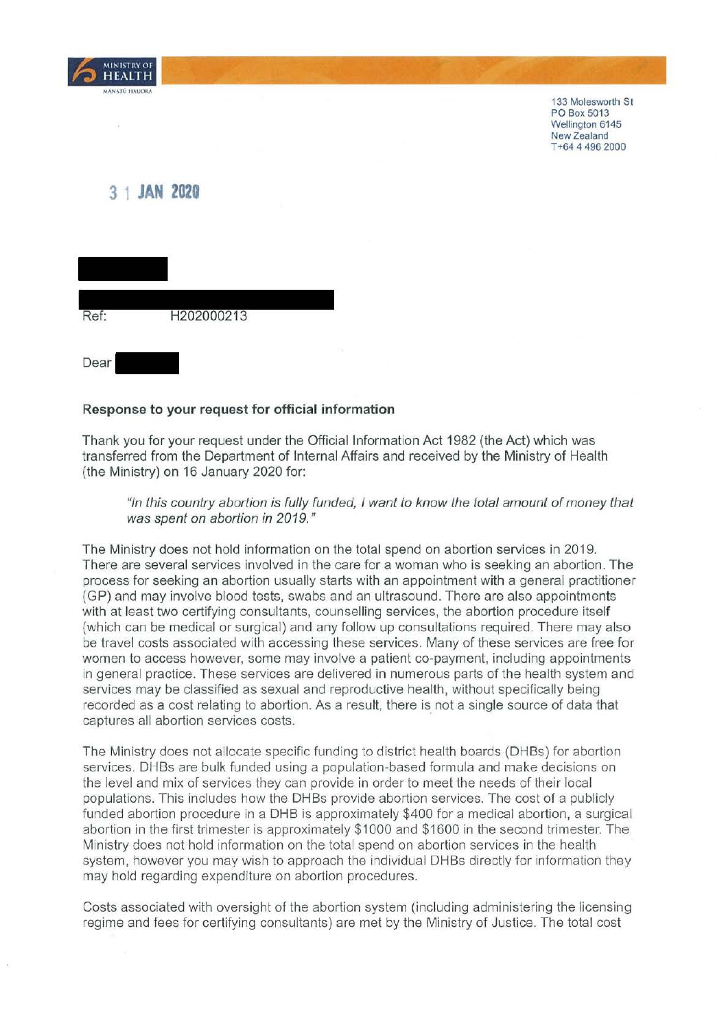

133 Molesworth St PO Box 5013 Wellington 6145 New Zealand T +64 4 496 2000

## **3 1 JAN 2020**

| Ref: | H202000213 |  |
|------|------------|--|
| Dear |            |  |

## **Response to your request for official information**

Thank you for your request under the Official Information Act 1982 (the Act) which was transferred from the Department of Internal Affairs and received by the Ministry of Health (the Ministry) on 16 January 2020 for:

"In this country abortion is fully funded, I want to know the total amount of money that was spent on abortion in 2019."

The Ministry does not hold information on the total spend on abortion services in 2019. There are several services involved in the care for a woman who is seeking an abortion. The process for seeking an abortion usually starts with an appointment with a general practitioner (GP) and may involve blood tests, swabs and an ultrasound. There are also appointments with at least two certifying consultants, counselling services, the abortion procedure itself (which can be medical or surgical) and any follow up consultations required. There may also be travel costs associated with accessing these services. Many of these services are free for women to access however, some may involve a patient co-payment, including appointments in general practice. These services are delivered in numerous parts of the health system and services may be classified as sexual and reproductive health, without specifically being recorded as a cost relating to abortion. As a result, there is not a single source of data that captures all abortion services costs.

The Ministry does not allocate specific funding to district health boards (DHBs) for abortion services. DHBs are bulk funded using a population-based formula and make decisions on the level and mix of services they can provide in order to meet the needs of their local populations. This includes how the DHBs provide abortion services. The cost of a publicly funded abortion procedure in a DHB is approximately \$400 for a medical abortion, a surgical abortion in the first trimester is approximately \$1000 and \$1600 in the second trimester. The Ministry does not hold information on the total spend on abortion services in the health system, however you may wish to approach the individual DHBs directly for information they may hold regarding expenditure on abortion procedures.

Costs associated with oversight of the abortion system (including administering the licensing regime and fees for certifying consultants) are met by the Ministry of Justice. The total cost